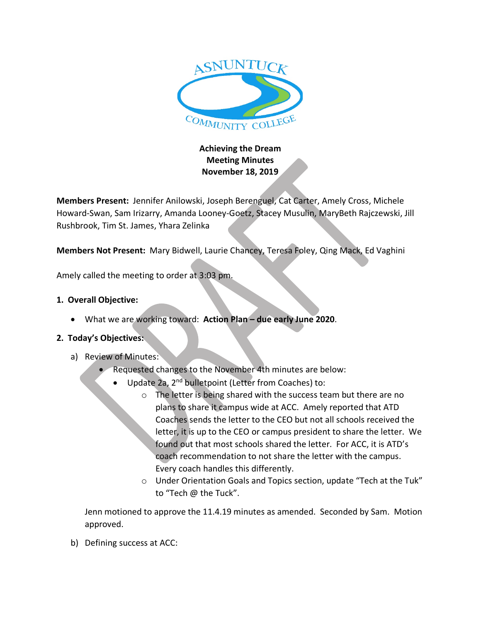

## **Achieving the Dream Meeting Minutes November 18, 2019**

**Members Present:** Jennifer Anilowski, Joseph Berenguel, Cat Carter, Amely Cross, Michele Howard-Swan, Sam Irizarry, Amanda Looney-Goetz, Stacey Musulin, MaryBeth Rajczewski, Jill Rushbrook, Tim St. James, Yhara Zelinka

**Members Not Present:** Mary Bidwell, Laurie Chancey, Teresa Foley, Qing Mack, Ed Vaghini

Amely called the meeting to order at 3:03 pm.

## **1. Overall Objective:**

• What we are working toward: **Action Plan – due early June 2020**.

## **2. Today's Objectives:**

- a) Review of Minutes:
	- Requested changes to the November 4th minutes are below:
		- Update 2a, 2<sup>nd</sup> bulletpoint (Letter from Coaches) to:
			- o The letter is being shared with the success team but there are no plans to share it campus wide at ACC. Amely reported that ATD Coaches sends the letter to the CEO but not all schools received the letter, it is up to the CEO or campus president to share the letter. We found out that most schools shared the letter. For ACC, it is ATD's coach recommendation to not share the letter with the campus. Every coach handles this differently.
			- o Under Orientation Goals and Topics section, update "Tech at the Tuk" to "Tech @ the Tuck".

Jenn motioned to approve the 11.4.19 minutes as amended. Seconded by Sam. Motion approved.

b) Defining success at ACC: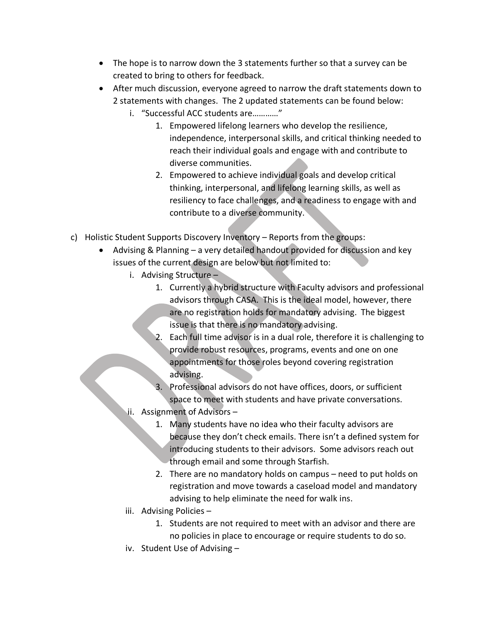- The hope is to narrow down the 3 statements further so that a survey can be created to bring to others for feedback.
- After much discussion, everyone agreed to narrow the draft statements down to 2 statements with changes. The 2 updated statements can be found below:
	- i. "Successful ACC students are…………"
		- 1. Empowered lifelong learners who develop the resilience, independence, interpersonal skills, and critical thinking needed to reach their individual goals and engage with and contribute to diverse communities.
		- 2. Empowered to achieve individual goals and develop critical thinking, interpersonal, and lifelong learning skills, as well as resiliency to face challenges, and a readiness to engage with and contribute to a diverse community.
- c) Holistic Student Supports Discovery Inventory Reports from the groups:
	- Advising & Planning a very detailed handout provided for discussion and key issues of the current design are below but not limited to:
		- i. Advising Structure
			- 1. Currently a hybrid structure with Faculty advisors and professional advisors through CASA. This is the ideal model, however, there are no registration holds for mandatory advising. The biggest issue is that there is no mandatory advising.
			- 2. Each full time advisor is in a dual role, therefore it is challenging to provide robust resources, programs, events and one on one appointments for those roles beyond covering registration advising.
			- 3. Professional advisors do not have offices, doors, or sufficient space to meet with students and have private conversations.
		- ii. Assignment of Advisors
			- 1. Many students have no idea who their faculty advisors are because they don't check emails. There isn't a defined system for introducing students to their advisors. Some advisors reach out through email and some through Starfish.
			- 2. There are no mandatory holds on campus need to put holds on registration and move towards a caseload model and mandatory advising to help eliminate the need for walk ins.
		- iii. Advising Policies
			- 1. Students are not required to meet with an advisor and there are no policies in place to encourage or require students to do so.
		- iv. Student Use of Advising –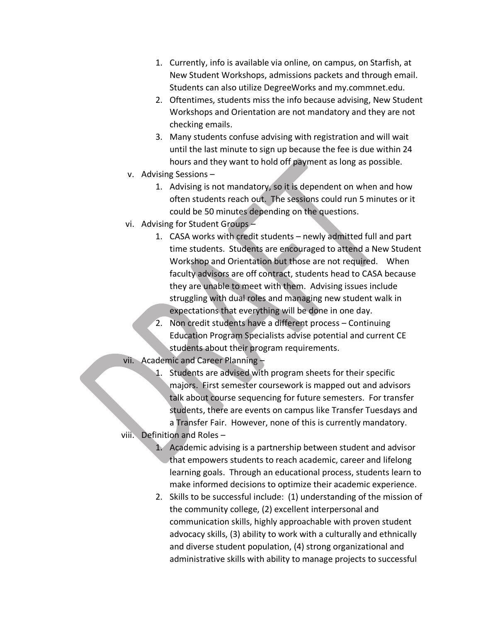- 1. Currently, info is available via online, on campus, on Starfish, at New Student Workshops, admissions packets and through email. Students can also utilize DegreeWorks and my.commnet.edu.
- 2. Oftentimes, students miss the info because advising, New Student Workshops and Orientation are not mandatory and they are not checking emails.
- 3. Many students confuse advising with registration and will wait until the last minute to sign up because the fee is due within 24 hours and they want to hold off payment as long as possible.
- v. Advising Sessions
	- 1. Advising is not mandatory, so it is dependent on when and how often students reach out. The sessions could run 5 minutes or it could be 50 minutes depending on the questions.
- vi. Advising for Student Groups
	- 1. CASA works with credit students newly admitted full and part time students. Students are encouraged to attend a New Student Workshop and Orientation but those are not required. When faculty advisors are off contract, students head to CASA because they are unable to meet with them. Advising issues include struggling with dual roles and managing new student walk in expectations that everything will be done in one day.
	- 2. Non credit students have a different process Continuing Education Program Specialists advise potential and current CE students about their program requirements.

vii. Academic and Career Planning –

- 1. Students are advised with program sheets for their specific majors. First semester coursework is mapped out and advisors talk about course sequencing for future semesters. For transfer students, there are events on campus like Transfer Tuesdays and a Transfer Fair. However, none of this is currently mandatory.
- viii. Definition and Roles
	- 1. Academic advising is a partnership between student and advisor that empowers students to reach academic, career and lifelong learning goals. Through an educational process, students learn to make informed decisions to optimize their academic experience.
	- 2. Skills to be successful include: (1) understanding of the mission of the community college, (2) excellent interpersonal and communication skills, highly approachable with proven student advocacy skills, (3) ability to work with a culturally and ethnically and diverse student population, (4) strong organizational and administrative skills with ability to manage projects to successful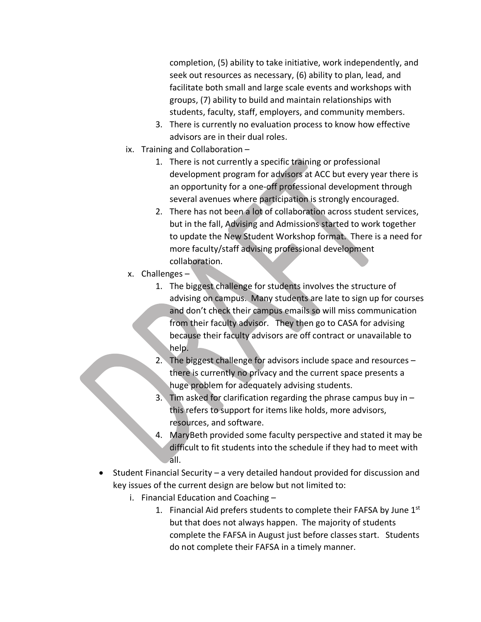completion, (5) ability to take initiative, work independently, and seek out resources as necessary, (6) ability to plan, lead, and facilitate both small and large scale events and workshops with groups, (7) ability to build and maintain relationships with students, faculty, staff, employers, and community members.

- 3. There is currently no evaluation process to know how effective advisors are in their dual roles.
- ix. Training and Collaboration
	- 1. There is not currently a specific training or professional development program for advisors at ACC but every year there is an opportunity for a one-off professional development through several avenues where participation is strongly encouraged.
	- 2. There has not been a lot of collaboration across student services, but in the fall, Advising and Admissions started to work together to update the New Student Workshop format. There is a need for more faculty/staff advising professional development collaboration.
- x. Challenges
	- 1. The biggest challenge for students involves the structure of advising on campus. Many students are late to sign up for courses and don't check their campus emails so will miss communication from their faculty advisor. They then go to CASA for advising because their faculty advisors are off contract or unavailable to help.
	- 2. The biggest challenge for advisors include space and resources there is currently no privacy and the current space presents a huge problem for adequately advising students.
	- 3. Tim asked for clarification regarding the phrase campus buy in  $$ this refers to support for items like holds, more advisors, resources, and software.
	- 4. MaryBeth provided some faculty perspective and stated it may be difficult to fit students into the schedule if they had to meet with all.
- Student Financial Security a very detailed handout provided for discussion and key issues of the current design are below but not limited to:
	- i. Financial Education and Coaching
		- 1. Financial Aid prefers students to complete their FAFSA by June 1<sup>st</sup> but that does not always happen. The majority of students complete the FAFSA in August just before classes start. Students do not complete their FAFSA in a timely manner.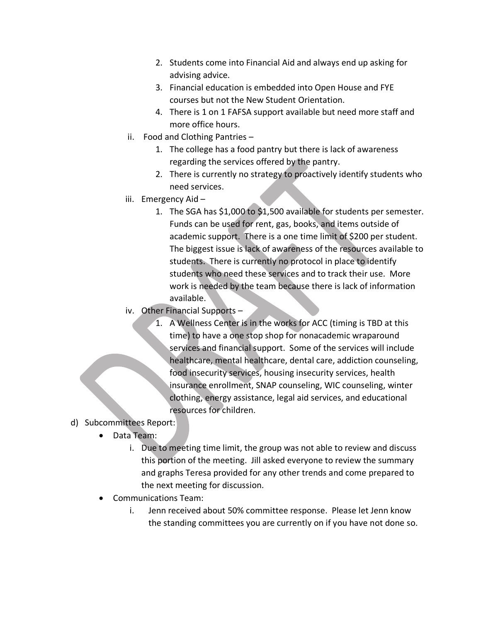- 2. Students come into Financial Aid and always end up asking for advising advice.
- 3. Financial education is embedded into Open House and FYE courses but not the New Student Orientation.
- 4. There is 1 on 1 FAFSA support available but need more staff and more office hours.
- ii. Food and Clothing Pantries
	- 1. The college has a food pantry but there is lack of awareness regarding the services offered by the pantry.
	- 2. There is currently no strategy to proactively identify students who need services.
- iii. Emergency Aid
	- 1. The SGA has \$1,000 to \$1,500 available for students per semester. Funds can be used for rent, gas, books, and items outside of academic support. There is a one time limit of \$200 per student. The biggest issue is lack of awareness of the resources available to students. There is currently no protocol in place to identify students who need these services and to track their use. More work is needed by the team because there is lack of information available.
- iv. Other Financial Supports
	- 1. A Wellness Center is in the works for ACC (timing is TBD at this time) to have a one stop shop for nonacademic wraparound services and financial support. Some of the services will include healthcare, mental healthcare, dental care, addiction counseling, food insecurity services, housing insecurity services, health insurance enrollment, SNAP counseling, WIC counseling, winter clothing, energy assistance, legal aid services, and educational resources for children.
- d) Subcommittees Report:
	- Data Team:
		- i. Due to meeting time limit, the group was not able to review and discuss this portion of the meeting. Jill asked everyone to review the summary and graphs Teresa provided for any other trends and come prepared to the next meeting for discussion.
	- Communications Team:
		- i. Jenn received about 50% committee response. Please let Jenn know the standing committees you are currently on if you have not done so.